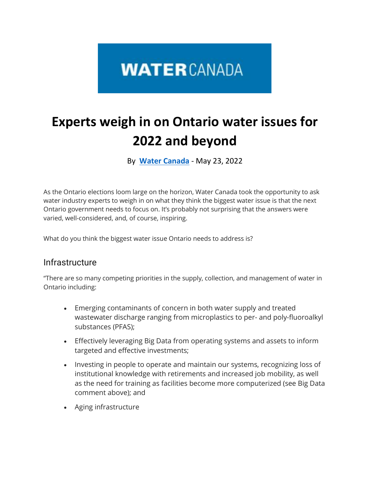# **WATERCANADA**

# **Experts weigh in on Ontario water issues for 2022 and beyond**

By **[Water Canada](https://www.watercanada.net/feature/experts-weigh-in-on-ontario-water/)** - May 23, 2022

As the Ontario elections loom large on the horizon, Water Canada took the opportunity to ask water industry experts to weigh in on what they think the biggest water issue is that the next Ontario government needs to focus on. It's probably not surprising that the answers were varied, well-considered, and, of course, inspiring.

What do you think the biggest water issue Ontario needs to address is?

### Infrastructure

"There are so many competing priorities in the supply, collection, and management of water in Ontario including:

- Emerging contaminants of concern in both water supply and treated wastewater discharge ranging from microplastics to per- and poly-fluoroalkyl substances (PFAS);
- Effectively leveraging Big Data from operating systems and assets to inform targeted and effective investments;
- Investing in people to operate and maintain our systems, recognizing loss of institutional knowledge with retirements and increased job mobility, as well as the need for training as facilities become more computerized (see Big Data comment above); and
- Aging infrastructure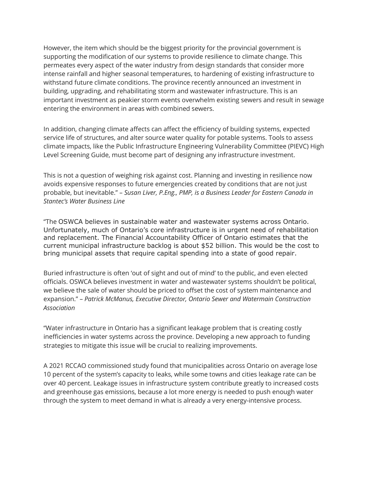However, the item which should be the biggest priority for the provincial government is supporting the modification of our systems to provide resilience to climate change. This permeates every aspect of the water industry from design standards that consider more intense rainfall and higher seasonal temperatures, to hardening of existing infrastructure to withstand future climate conditions. The province recently announced an investment in building, upgrading, and rehabilitating storm and wastewater infrastructure. This is an important investment as peakier storm events overwhelm existing sewers and result in sewage entering the environment in areas with combined sewers.

In addition, changing climate affects can affect the efficiency of building systems, expected service life of structures, and alter source water quality for potable systems. Tools to assess climate impacts, like the Public Infrastructure Engineering Vulnerability Committee (PIEVC) High Level Screening Guide, must become part of designing any infrastructure investment.

This is not a question of weighing risk against cost. Planning and investing in resilience now avoids expensive responses to future emergencies created by conditions that are not just probable, but inevitable." – *Susan Liver, P.Eng., PMP, is a Business Leader for Eastern Canada in Stantec's Water Business Line*

"The OSWCA believes in sustainable water and wastewater systems across Ontario. Unfortunately, much of Ontario's core infrastructure is in urgent need of rehabilitation and replacement. The Financial Accountability Officer of Ontario estimates that the current municipal infrastructure backlog is about \$52 billion. This would be the cost to bring municipal assets that require capital spending into a state of good repair.

Buried infrastructure is often 'out of sight and out of mind' to the public, and even elected officials. OSWCA believes investment in water and wastewater systems shouldn't be political, we believe the sale of water should be priced to offset the cost of system maintenance and expansion." – *Patrick McManus, Executive Director, Ontario Sewer and Watermain Construction Association*

"Water infrastructure in Ontario has a significant leakage problem that is creating costly inefficiencies in water systems across the province. Developing a new approach to funding strategies to mitigate this issue will be crucial to realizing improvements.

A 2021 RCCAO commissioned study found that municipalities across Ontario on average lose 10 percent of the system's capacity to leaks, while some towns and cities leakage rate can be over 40 percent. Leakage issues in infrastructure system contribute greatly to increased costs and greenhouse gas emissions, because a lot more energy is needed to push enough water through the system to meet demand in what is already a very energy-intensive process.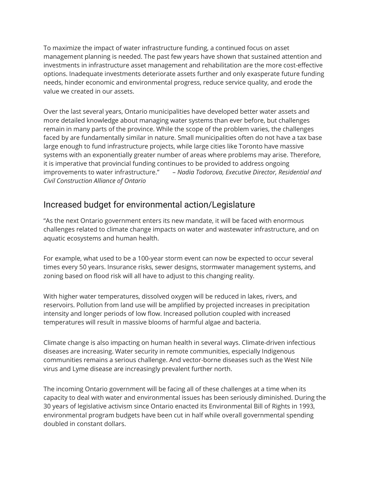To maximize the impact of water infrastructure funding, a continued focus on asset management planning is needed. The past few years have shown that sustained attention and investments in infrastructure asset management and rehabilitation are the more cost-effective options. Inadequate investments deteriorate assets further and only exasperate future funding needs, hinder economic and environmental progress, reduce service quality, and erode the value we created in our assets.

Over the last several years, Ontario municipalities have developed better water assets and more detailed knowledge about managing water systems than ever before, but challenges remain in many parts of the province. While the scope of the problem varies, the challenges faced by are fundamentally similar in nature. Small municipalities often do not have a tax base large enough to fund infrastructure projects, while large cities like Toronto have massive systems with an exponentially greater number of areas where problems may arise. Therefore, it is imperative that provincial funding continues to be provided to address ongoing improvements to water infrastructure." – *Nadia Todorova, Executive Director, Residential and Civil Construction Alliance of Ontario*

## Increased budget for environmental action/Legislature

"As the next Ontario government enters its new mandate, it will be faced with enormous challenges related to climate change impacts on water and wastewater infrastructure, and on aquatic ecosystems and human health.

For example, what used to be a 100-year storm event can now be expected to occur several times every 50 years. Insurance risks, sewer designs, stormwater management systems, and zoning based on flood risk will all have to adjust to this changing reality.

With higher water temperatures, dissolved oxygen will be reduced in lakes, rivers, and reservoirs. Pollution from land use will be amplified by projected increases in precipitation intensity and longer periods of low flow. Increased pollution coupled with increased temperatures will result in massive blooms of harmful algae and bacteria.

Climate change is also impacting on human health in several ways. Climate-driven infectious diseases are increasing. Water security in remote communities, especially Indigenous communities remains a serious challenge. And vector-borne diseases such as the West Nile virus and Lyme disease are increasingly prevalent further north.

The incoming Ontario government will be facing all of these challenges at a time when its capacity to deal with water and environmental issues has been seriously diminished. During the 30 years of legislative activism since Ontario enacted its Environmental Bill of Rights in 1993, environmental program budgets have been cut in half while overall governmental spending doubled in constant dollars.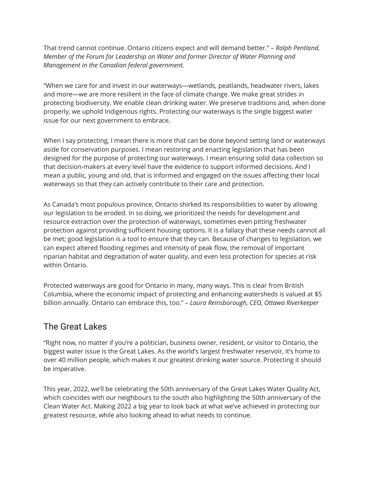That trend cannot continue. Ontario citizens expect and will demand better." – *Ralph Pentland, Member of the Forum for Leadership on Water and former Director of Water Planning and Management in the Canadian federal government.*

"When we care for and invest in our waterways—wetlands, peatlands, headwater rivers, lakes and more—we are more resilient in the face of climate change. We make great strides in protecting biodiversity. We enable clean drinking water. We preserve traditions and, when done properly, we uphold Indigenous rights. Protecting our waterways is the single biggest water issue for our next government to embrace.

When I say protecting, I mean there is more that can be done beyond setting land or waterways aside for conservation purposes. I mean restoring and enacting legislation that has been designed for the purpose of protecting our waterways. I mean ensuring solid data collection so that decision-makers at every level have the evidence to support informed decisions. And I mean a public, young and old, that is informed and engaged on the issues affecting their local waterways so that they can actively contribute to their care and protection.

As Canada's most populous province, Ontario shirked its responsibilities to water by allowing our legislation to be eroded. In so doing, we prioritized the needs for development and resource extraction over the protection of waterways, sometimes even pitting freshwater protection against providing sufficient housing options. It is a fallacy that these needs cannot all be met; good legislation is a tool to ensure that they can. Because of changes to legislation, we can expect altered flooding regimes and intensity of peak flow, the removal of important riparian habitat and degradation of water quality, and even less protection for species at risk within Ontario.

Protected waterways are good for Ontario in many, many ways. This is clear from British Columbia, where the economic impact of protecting and enhancing watersheds is valued at \$5 billion annually. Ontario can embrace this, too." – *Laura Reinsborough, CEO, Ottawa Riverkeeper*

# The Great Lakes

"Right now, no matter if you're a politician, business owner, resident, or visitor to Ontario, the biggest water issue is the Great Lakes. As the world's largest freshwater reservoir, it's home to over 40 million people, which makes it our greatest drinking water source. Protecting it should be imperative.

This year, 2022, we'll be celebrating the 50th anniversary of the Great Lakes Water Quality Act, which coincides with our neighbours to the south also highlighting the 50th anniversary of the Clean Water Act. Making 2022 a big year to look back at what we've achieved in protecting our greatest resource, while also looking ahead to what needs to continue.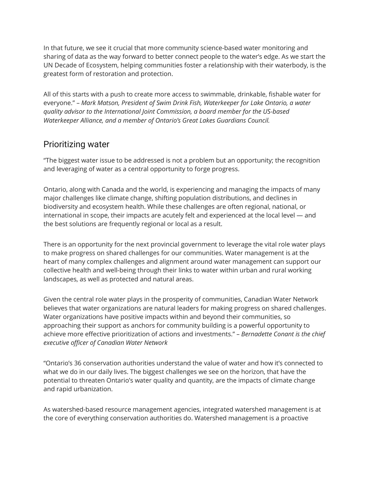In that future, we see it crucial that more community science-based water monitoring and sharing of data as the way forward to better connect people to the water's edge. As we start the UN Decade of Ecosystem, helping communities foster a relationship with their waterbody, is the greatest form of restoration and protection.

All of this starts with a push to create more access to swimmable, drinkable, fishable water for everyone." – *Mark Matson, President of Swim Drink Fish, Waterkeeper for Lake Ontario, a water quality advisor to the International Joint Commission, a board member for the US-based Waterkeeper Alliance, and a member of Ontario's Great Lakes Guardians Council.*

### Prioritizing water

"The biggest water issue to be addressed is not a problem but an opportunity; the recognition and leveraging of water as a central opportunity to forge progress.

Ontario, along with Canada and the world, is experiencing and managing the impacts of many major challenges like climate change, shifting population distributions, and declines in biodiversity and ecosystem health. While these challenges are often regional, national, or international in scope, their impacts are acutely felt and experienced at the local level — and the best solutions are frequently regional or local as a result.

There is an opportunity for the next provincial government to leverage the vital role water plays to make progress on shared challenges for our communities. Water management is at the heart of many complex challenges and alignment around water management can support our collective health and well-being through their links to water within urban and rural working landscapes, as well as protected and natural areas.

Given the central role water plays in the prosperity of communities, Canadian Water Network believes that water organizations are natural leaders for making progress on shared challenges. Water organizations have positive impacts within and beyond their communities, so approaching their support as anchors for community building is a powerful opportunity to achieve more effective prioritization of actions and investments." – *Bernadette Conant is the chief executive officer of Canadian Water Network*

"Ontario's 36 conservation authorities understand the value of water and how it's connected to what we do in our daily lives. The biggest challenges we see on the horizon, that have the potential to threaten Ontario's water quality and quantity, are the impacts of climate change and rapid urbanization.

As watershed-based resource management agencies, integrated watershed management is at the core of everything conservation authorities do. Watershed management is a proactive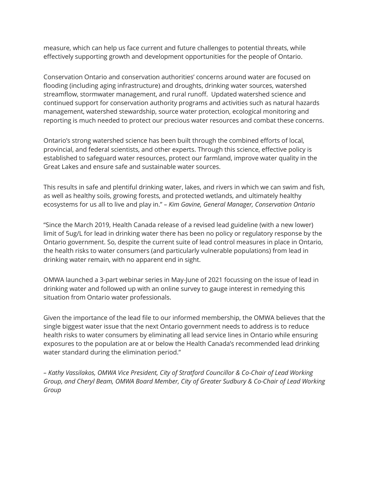measure, which can help us face current and future challenges to potential threats, while effectively supporting growth and development opportunities for the people of Ontario.

Conservation Ontario and conservation authorities' concerns around water are focused on flooding (including aging infrastructure) and droughts, drinking water sources, watershed streamflow, stormwater management, and rural runoff. Updated watershed science and continued support for conservation authority programs and activities such as natural hazards management, watershed stewardship, source water protection, ecological monitoring and reporting is much needed to protect our precious water resources and combat these concerns.

Ontario's strong watershed science has been built through the combined efforts of local, provincial, and federal scientists, and other experts. Through this science, effective policy is established to safeguard water resources, protect our farmland, improve water quality in the Great Lakes and ensure safe and sustainable water sources.

This results in safe and plentiful drinking water, lakes, and rivers in which we can swim and fish, as well as healthy soils, growing forests, and protected wetlands, and ultimately healthy ecosystems for us all to live and play in." *– Kim Gavine, General Manager, Conservation Ontario*

"Since the March 2019, Health Canada release of a revised lead guideline (with a new lower) limit of 5ug/L for lead in drinking water there has been no policy or regulatory response by the Ontario government. So, despite the current suite of lead control measures in place in Ontario, the health risks to water consumers (and particularly vulnerable populations) from lead in drinking water remain, with no apparent end in sight.

OMWA launched a 3-part webinar series in May-June of 2021 focussing on the issue of lead in drinking water and followed up with an online survey to gauge interest in remedying this situation from Ontario water professionals.

Given the importance of the lead file to our informed membership, the OMWA believes that the single biggest water issue that the next Ontario government needs to address is to reduce health risks to water consumers by eliminating all lead service lines in Ontario while ensuring exposures to the population are at or below the Health Canada's recommended lead drinking water standard during the elimination period."

*– Kathy Vassilakos, OMWA Vice President, City of Stratford Councillor & Co-Chair of Lead Working Group, and Cheryl Beam, OMWA Board Member, City of Greater Sudbury & Co-Chair of Lead Working Group*